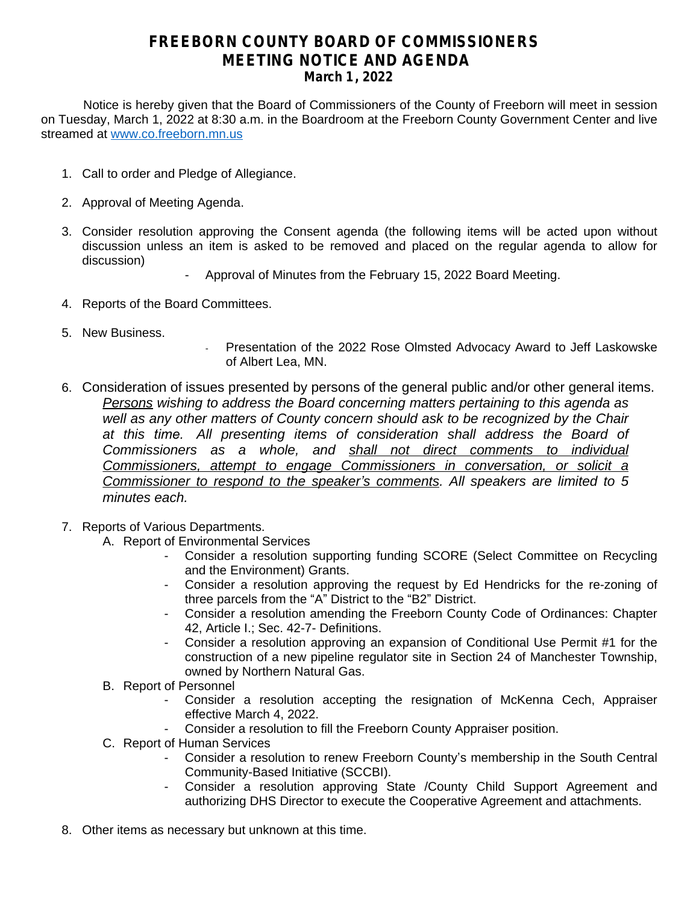## **FREEBORN COUNTY BOARD OF COMMISSIONERS MEETING NOTICE AND AGENDA March 1, 2022**

Notice is hereby given that the Board of Commissioners of the County of Freeborn will meet in session on Tuesday, March 1, 2022 at 8:30 a.m. in the Boardroom at the Freeborn County Government Center and live streamed at [www.co.freeborn.mn.us](http://www.co.freeborn.mn.us)

- 1. Call to order and Pledge of Allegiance.
- 2. Approval of Meeting Agenda.
- 3. Consider resolution approving the Consent agenda (the following items will be acted upon without discussion unless an item is asked to be removed and placed on the regular agenda to allow for discussion)
	- Approval of Minutes from the February 15, 2022 Board Meeting.
- 4. Reports of the Board Committees.
- 5. New Business.
- Presentation of the 2022 Rose Olmsted Advocacy Award to Jeff Laskowske of Albert Lea, MN.
- 6. Consideration of issues presented by persons of the general public and/or other general items. *Persons wishing to address the Board concerning matters pertaining to this agenda as well as any other matters of County concern should ask to be recognized by the Chair at this time. All presenting items of consideration shall address the Board of Commissioners as a whole, and shall not direct comments to individual Commissioners, attempt to engage Commissioners in conversation, or solicit a Commissioner to respond to the speaker's comments. All speakers are limited to 5 minutes each.*
- 7. Reports of Various Departments.
	- A. Report of Environmental Services
		- Consider a resolution supporting funding SCORE (Select Committee on Recycling and the Environment) Grants.
		- Consider a resolution approving the request by Ed Hendricks for the re-zoning of three parcels from the "A" District to the "B2" District.
		- Consider a resolution amending the Freeborn County Code of Ordinances: Chapter 42, Article I.; Sec. 42-7- Definitions.
		- Consider a resolution approving an expansion of Conditional Use Permit #1 for the construction of a new pipeline regulator site in Section 24 of Manchester Township, owned by Northern Natural Gas.
	- B. Report of Personnel
		- Consider a resolution accepting the resignation of McKenna Cech, Appraiser effective March 4, 2022.
		- Consider a resolution to fill the Freeborn County Appraiser position.
	- C. Report of Human Services
		- Consider a resolution to renew Freeborn County's membership in the South Central Community-Based Initiative (SCCBI).
		- Consider a resolution approving State /County Child Support Agreement and authorizing DHS Director to execute the Cooperative Agreement and attachments.
- 8. Other items as necessary but unknown at this time.